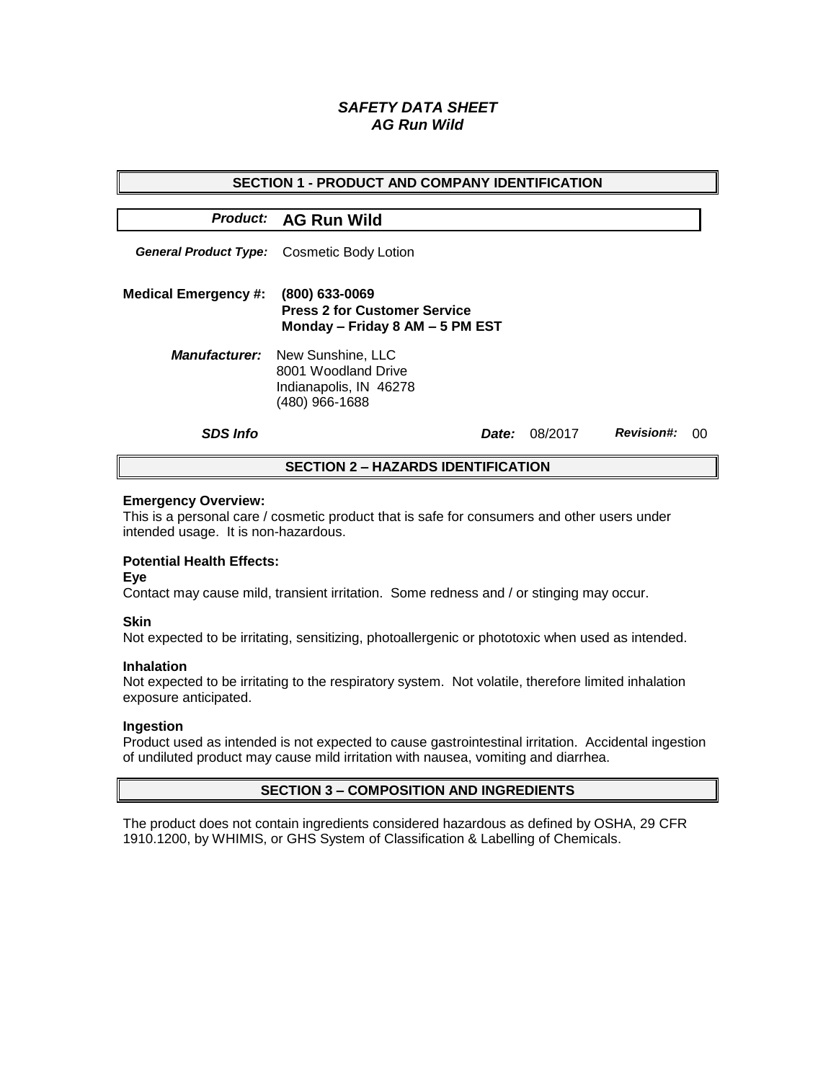# *SAFETY DATA SHEET AG Run Wild*

| <b>SECTION 1 - PRODUCT AND COMPANY IDENTIFICATION</b> |                                                                                                           |  |         |                   |    |  |  |
|-------------------------------------------------------|-----------------------------------------------------------------------------------------------------------|--|---------|-------------------|----|--|--|
|                                                       | Product: AG Run Wild                                                                                      |  |         |                   |    |  |  |
| <b>General Product Type:</b>                          | Cosmetic Body Lotion                                                                                      |  |         |                   |    |  |  |
| <b>Medical Emergency #:</b>                           | (800) 633-0069<br><b>Press 2 for Customer Service</b><br>Monday - Friday 8 AM - 5 PM EST                  |  |         |                   |    |  |  |
|                                                       | <b>Manufacturer:</b> New Sunshine, LLC<br>8001 Woodland Drive<br>Indianapolis, IN 46278<br>(480) 966-1688 |  |         |                   |    |  |  |
| <b>SDS Info</b>                                       | <i>Date:</i>                                                                                              |  | 08/2017 | <b>Revision#:</b> | 00 |  |  |
| <b>SECTION 2 - HAZARDS IDENTIFICATION</b>             |                                                                                                           |  |         |                   |    |  |  |

#### **Emergency Overview:**

This is a personal care / cosmetic product that is safe for consumers and other users under intended usage. It is non-hazardous.

## **Potential Health Effects:**

**Eye**

Contact may cause mild, transient irritation. Some redness and / or stinging may occur.

## **Skin**

Not expected to be irritating, sensitizing, photoallergenic or phototoxic when used as intended.

#### **Inhalation**

Not expected to be irritating to the respiratory system. Not volatile, therefore limited inhalation exposure anticipated.

## **Ingestion**

Product used as intended is not expected to cause gastrointestinal irritation. Accidental ingestion of undiluted product may cause mild irritation with nausea, vomiting and diarrhea.

## **SECTION 3 – COMPOSITION AND INGREDIENTS**

The product does not contain ingredients considered hazardous as defined by OSHA, 29 CFR 1910.1200, by WHIMIS, or GHS System of Classification & Labelling of Chemicals.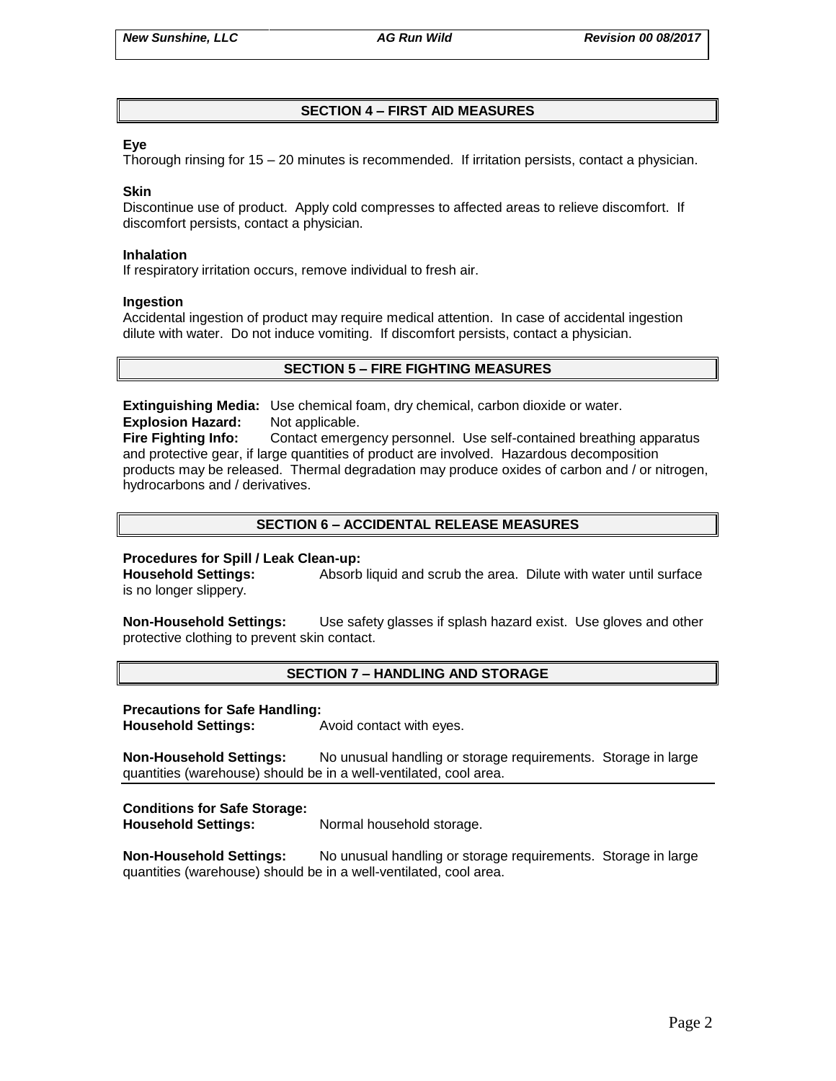# **SECTION 4 – FIRST AID MEASURES**

## **Eye**

Thorough rinsing for 15 – 20 minutes is recommended. If irritation persists, contact a physician.

#### **Skin**

Discontinue use of product. Apply cold compresses to affected areas to relieve discomfort. If discomfort persists, contact a physician.

#### **Inhalation**

If respiratory irritation occurs, remove individual to fresh air.

#### **Ingestion**

Accidental ingestion of product may require medical attention. In case of accidental ingestion dilute with water. Do not induce vomiting. If discomfort persists, contact a physician.

## **SECTION 5 – FIRE FIGHTING MEASURES**

**Extinguishing Media:** Use chemical foam, dry chemical, carbon dioxide or water. **Explosion Hazard:** Not applicable.

**Fire Fighting Info:** Contact emergency personnel. Use self-contained breathing apparatus and protective gear, if large quantities of product are involved. Hazardous decomposition products may be released. Thermal degradation may produce oxides of carbon and / or nitrogen, hydrocarbons and / derivatives.

## **SECTION 6 – ACCIDENTAL RELEASE MEASURES**

## **Procedures for Spill / Leak Clean-up:**

**Household Settings:** Absorb liquid and scrub the area. Dilute with water until surface is no longer slippery.

**Non-Household Settings:** Use safety glasses if splash hazard exist. Use gloves and other protective clothing to prevent skin contact.

## **SECTION 7 – HANDLING AND STORAGE**

#### **Precautions for Safe Handling:**

**Household Settings:** Avoid contact with eyes.

**Non-Household Settings:** No unusual handling or storage requirements. Storage in large quantities (warehouse) should be in a well-ventilated, cool area.

## **Conditions for Safe Storage:**

**Household Settings:** Normal household storage.

**Non-Household Settings:** No unusual handling or storage requirements. Storage in large quantities (warehouse) should be in a well-ventilated, cool area.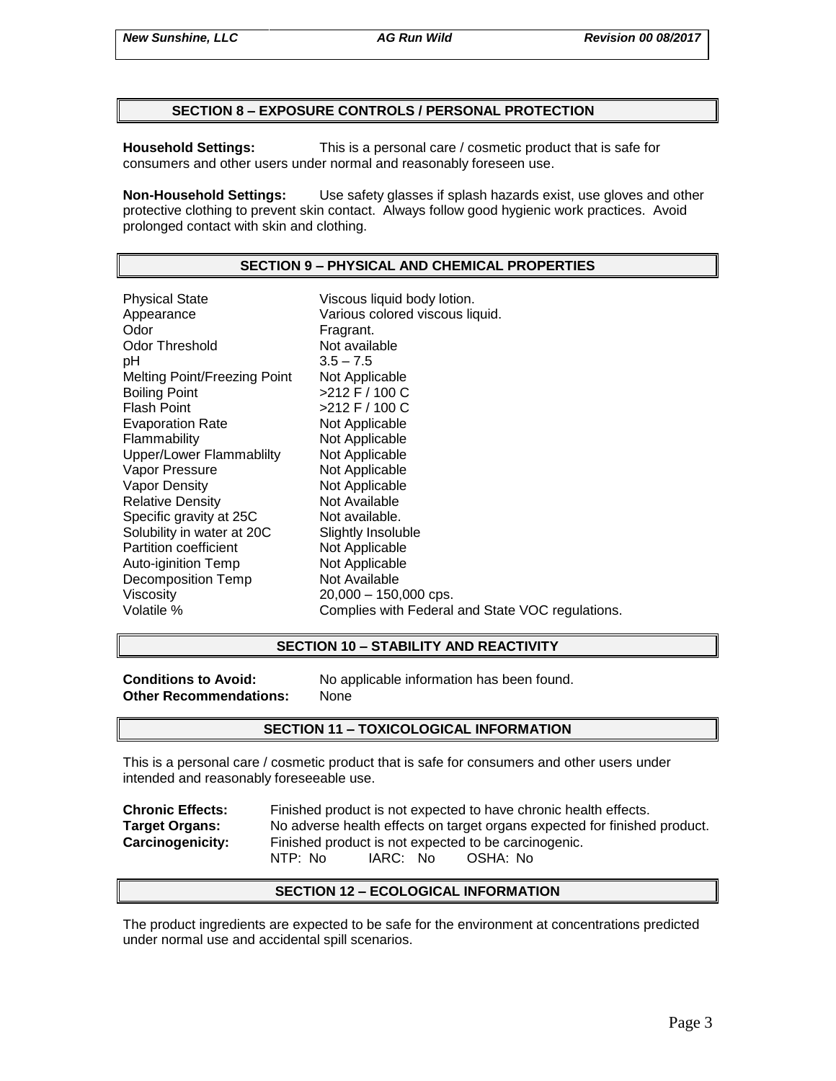## **SECTION 8 – EXPOSURE CONTROLS / PERSONAL PROTECTION**

**Household Settings:** This is a personal care / cosmetic product that is safe for consumers and other users under normal and reasonably foreseen use.

**Non-Household Settings:** Use safety glasses if splash hazards exist, use gloves and other protective clothing to prevent skin contact. Always follow good hygienic work practices. Avoid prolonged contact with skin and clothing.

# **SECTION 9 – PHYSICAL AND CHEMICAL PROPERTIES**

Physical State Viscous liquid body lotion. Appearance Various colored viscous liquid.<br>
Odor Color Color Fragrant. Odor Threshold Not available pH 3.5 – 7.5 Melting Point/Freezing Point Not Applicable Boiling Point >212 F / 100 C Flash Point  $>212$  F / 100 C Evaporation Rate Not Applicable Flammability Not Applicable Upper/Lower Flammablilty Not Applicable Vapor Pressure Not Applicable Vapor Density Not Applicable Relative Density Not Available Specific gravity at 25C Not available. Solubility in water at 20C Slightly Insoluble<br>
Partition coefficient
Subsetted Not Applicable Partition coefficient Mot Applicable<br>
Auto-iginition Temp<br>
Not Applicable Auto-iginition Temp Decomposition Temp Not Available Viscosity 20,000 – 150,000 cps. Volatile % Complies with Federal and State VOC regulations.

## **SECTION 10 – STABILITY AND REACTIVITY**

**Other Recommendations:** None

**Conditions to Avoid:** No applicable information has been found.

## **SECTION 11 – TOXICOLOGICAL INFORMATION**

This is a personal care / cosmetic product that is safe for consumers and other users under intended and reasonably foreseeable use.

**Chronic Effects:** Finished product is not expected to have chronic health effects. **Target Organs:** No adverse health effects on target organs expected for finished product. **Carcinogenicity:** Finished product is not expected to be carcinogenic. NTP: No IARC: No OSHA: No

## **SECTION 12 – ECOLOGICAL INFORMATION**

The product ingredients are expected to be safe for the environment at concentrations predicted under normal use and accidental spill scenarios.